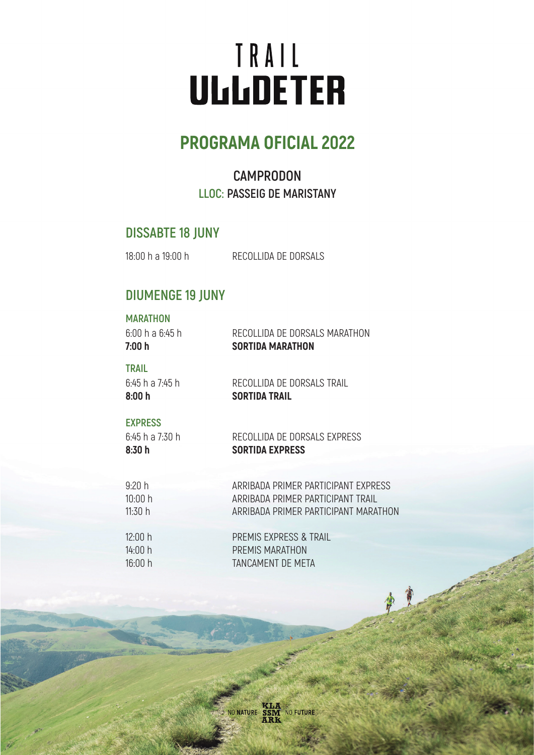# TRAIL **ULLLDETER**

## **PROGRAMA OFICIAL 2022**

## **CAMPRODON LLOC: PASSEIG DE MARISTANY**

### **DISSABTE 18 JUNY**

18:00 h a 19:00 h

RECOLLIDA DE DORSALS

## **DIUMENGE 19 JUNY**

#### **MARATHON**

| 7:00 h          | <b>SORTIDA MARATHON</b>       |
|-----------------|-------------------------------|
| 6:00 h a 6:45 h | RECOLLIDA DE DORSALS MARATHON |

#### **TRAIL**

6:45 h a 7:45 h **8:00 h**

RECOLLIDA DE DORSALS TRAIL **SORTIDA TRAIL**

#### **EXPRESS**

6:45 h a 7:30 h **8:30 h**

RECOLLIDA DE DORSALS EXPRESS **SORTIDA EXPRESS**

| 9:20 h  | ARRIBADA PRIMER PARTICIPANT EXPRESS  |
|---------|--------------------------------------|
| 10:00 h | ARRIBADA PRIMER PARTICIPANT TRAIL    |
| 11:30 h | ARRIBADA PRIMER PARTICIPANT MARATHON |
|         |                                      |

| 12:00 h | PREMIS EXPRESS & TRAIL |
|---------|------------------------|
| 14:00 h | PREMIS MARATHON        |
| 16:00 h | TANCAMENT DE META      |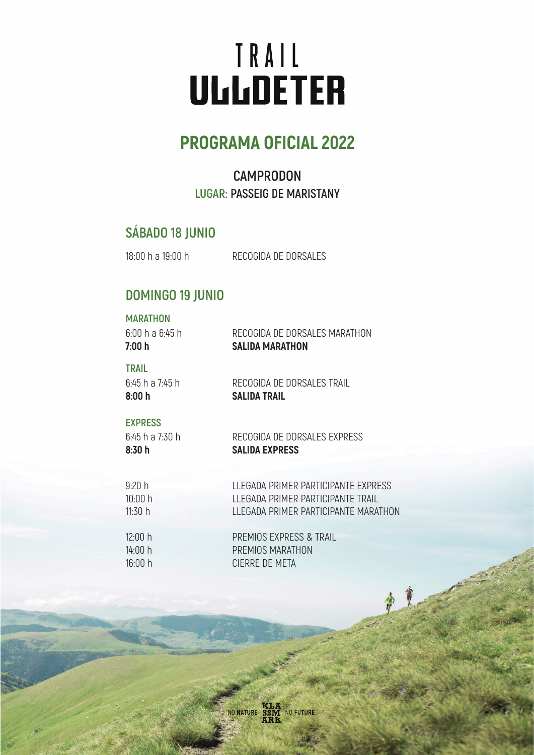# TRAIL **ULLLDETER**

## **PROGRAMA OFICIAL 2022**

## **CAMPRODON LUGAR: PASSEIG DE MARISTANY**

## **SÁBADO 18 JUNIO**

18:00 h a 19:00 h

RECOGIDA DE DORSALES

## **DOMINGO 19 JUNIO**

#### **MARATHON**

| 7:00 h          | <b>SALIDA MARATHON</b>        |
|-----------------|-------------------------------|
| 6:00 h a 6:45 h | RECOGIDA DE DORSALES MARATHON |

#### **TRAIL**

6:45 h a 7:45 h **8:00 h**

RECOGIDA DE DORSALES TRAIL **SALIDA TRAIL**

#### **EXPRESS**

6:45 h a 7:30 h **8:30 h**

RECOGIDA DE DORSALES EXPRESS **SALIDA EXPRESS**

| 9:20h   | LLEGADA PRIMER PARTICIPANTE EXPRESS  |
|---------|--------------------------------------|
| 10:00 h | LLEGADA PRIMER PARTICIPANTE TRAIL    |
| 11:30 h | LLEGADA PRIMER PARTICIPANTE MARATHON |
|         |                                      |

| 12:00 h | PREMIOS EXPRESS & TRAIL |
|---------|-------------------------|
| 14:00 h | PREMIOS MARATHON        |
| 16:00 h | CIERRE DE META          |